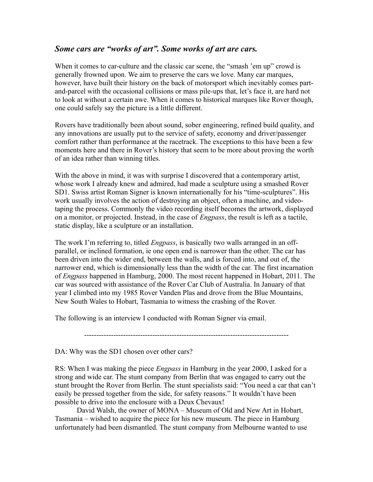## *Some cars are "works of art". Some works of art are cars.*

When it comes to car-culture and the classic car scene, the "smash 'em up" crowd is generally frowned upon. We aim to preserve the cars we love. Many car marques, however, have built their history on the back of motorsport which inevitably comes partand-parcel with the occasional collisions or mass pile-ups that, let's face it, are hard not to look at without a certain awe. When it comes to historical marques like Rover though, one could safely say the picture is a little different.

Rovers have traditionally been about sound, sober engineering, refined build quality, and any innovations are usually put to the service of safety, economy and driver/passenger comfort rather than performance at the racetrack. The exceptions to this have been a few moments here and there in Rover's history that seem to be more about proving the worth of an idea rather than winning titles.

With the above in mind, it was with surprise I discovered that a contemporary artist, whose work I already knew and admired, had made a sculpture using a smashed Rover SD1. Swiss artist Roman Signer is known internationally for his "time-sculptures". His work usually involves the action of destroying an object, often a machine, and videotaping the process. Commonly the video recording itself becomes the artwork, displayed on a monitor, or projected. Instead, in the case of *Engpass*, the result is left as a tactile, static display, like a sculpture or an installation.

The work I'm referring to, titled *Engpass*, is basically two walls arranged in an offparallel, or inclined formation, ie one open end is narrower than the other. The car has been driven into the wider end, between the walls, and is forced into, and out of, the narrower end, which is dimensionally less than the width of the car. The first incarnation of *Engpass* happened in Hamburg, 2000. The most recent happened in Hobart, 2011. The car was sourced with assistance of the Rover Car Club of Australia. In January of that year I climbed into my 1985 Rover Vanden Plas and drove from the Blue Mountains, New South Wales to Hobart, Tasmania to witness the crashing of the Rover.

The following is an interview I conducted with Roman Signer via email.

------------------------------------------------------------------------------------

DA: Why was the SD1 chosen over other cars?

RS: When I was making the piece *Engpass* in Hamburg in the year 2000, I asked for a strong and wide car. The stunt company from Berlin that was engaged to carry out the stunt brought the Rover from Berlin. The stunt specialists said: "You need a car that can't easily be pressed together from the side, for safety reasons." It wouldn't have been possible to drive into the enclosure with a Deux Chevaux!

David Walsh, the owner of MONA – Museum of Old and New Art in Hobart, Tasmania – wished to acquire the piece for his new museum. The piece in Hamburg unfortunately had been dismantled. The stunt company from Melbourne wanted to use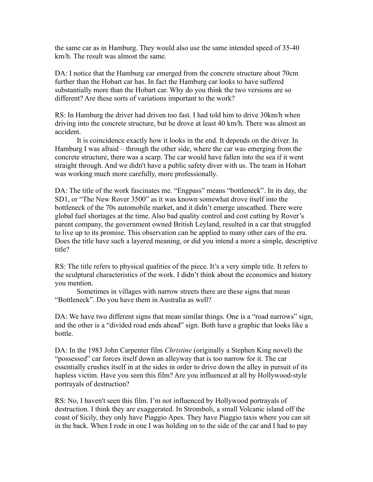the same car as in Hamburg. They would also use the same intended speed of 35-40 km/h. The result was almost the same.

DA: I notice that the Hamburg car emerged from the concrete structure about 70cm further than the Hobart car has. In fact the Hamburg car looks to have suffered substantially more than the Hobart car. Why do you think the two versions are so different? Are these sorts of variations important to the work?

RS: In Hamburg the driver had driven too fast. I had told him to drive 30km/h when driving into the concrete structure, but he drove at least 40 km/h. There was almost an accident.

It is coincidence exactly how it looks in the end. It depends on the driver. In Hamburg I was afraid – through the other side, where the car was emerging from the concrete structure, there was a scarp. The car would have fallen into the sea if it went straight through. And we didn't have a public safety diver with us. The team in Hobart was working much more carefully, more professionally.

DA: The title of the work fascinates me. "Engpass" means "bottleneck". In its day, the SD1, or "The New Rover 3500" as it was known somewhat drove itself into the bottleneck of the 70s automobile market, and it didn't emerge unscathed. There were global fuel shortages at the time. Also bad quality control and cost cutting by Rover's parent company, the government owned British Leyland, resulted in a car that struggled to live up to its promise. This observation can be applied to many other cars of the era. Does the title have such a layered meaning, or did you intend a more a simple, descriptive title?

RS: The title refers to physical qualities of the piece. It's a very simple title. It refers to the sculptural characteristics of the work. I didn't think about the economics and history you mention.

Sometimes in villages with narrow streets there are these signs that mean "Bottleneck". Do you have them in Australia as well?

DA: We have two different signs that mean similar things. One is a "road narrows" sign, and the other is a "divided road ends ahead" sign. Both have a graphic that looks like a bottle.

DA: In the 1983 John Carpenter film *Christine* (originally a Stephen King novel) the "possessed" car forces itself down an alleyway that is too narrow for it. The car essentially crushes itself in at the sides in order to drive down the alley in pursuit of its hapless victim. Have you seen this film? Are you influenced at all by Hollywood-style portrayals of destruction?

RS: No, I haven't seen this film. I'm not influenced by Hollywood portrayals of destruction. I think they are exaggerated. In Stromboli, a small Volcanic island off the coast of Sicily, they only have Piaggio Apes. They have Piaggio taxis where you can sit in the back. When I rode in one I was holding on to the side of the car and I had to pay